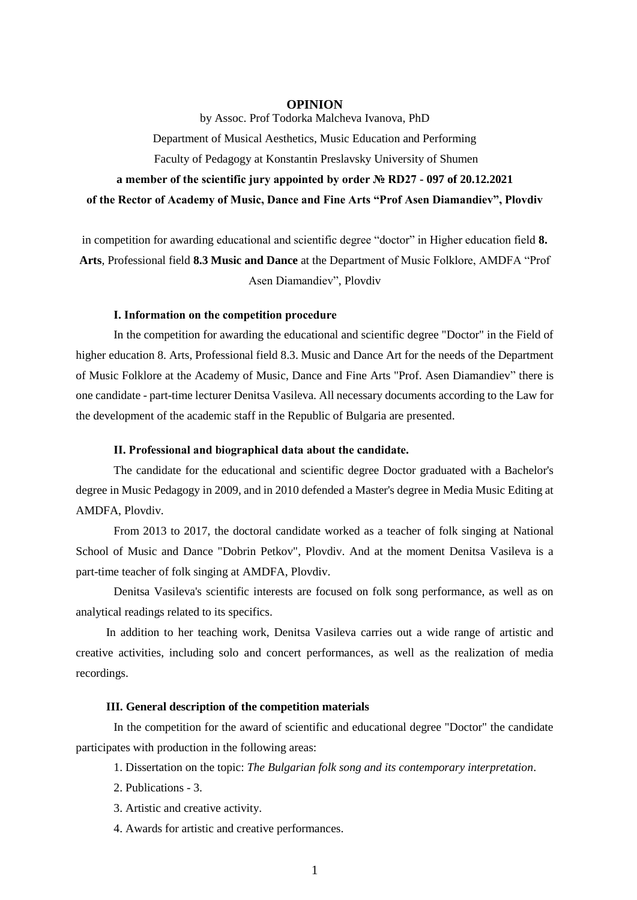## **OPINION**

by Assoc. Prof Todorka Malcheva Ivanova, PhD Department of Musical Aesthetics, Music Education and Performing Faculty of Pedagogy at Konstantin Preslavsky University of Shumen **a member of the scientific jury appointed by order № RD27 - 097 of 20.12.2021 of the Rector of Academy of Music, Dance and Fine Arts "Prof Asen Diamandiev", Plovdiv**

in competition for awarding educational and scientific degree "doctor" in Higher education field **8. Arts**, Professional field **8.3 Music and Dance** at the Department of Music Folklore, AMDFA "Prof Asen Diamandiev", Plovdiv

### **І. Information on the competition procedure**

In the competition for awarding the educational and scientific degree "Doctor" in the Field of higher education 8. Arts, Professional field 8.3. Music and Dance Art for the needs of the Department of Music Folklore at the Academy of Music, Dance and Fine Arts "Prof. Asen Diamandiev" there is one candidate - part-time lecturer Denitsa Vasileva. All necessary documents according to the Law for the development of the academic staff in the Republic of Bulgaria are presented.

### **ІІ. Professional and biographical data about the candidate.**

The candidate for the educational and scientific degree Doctor graduated with a Bachelor's degree in Music Pedagogy in 2009, and in 2010 defended a Master's degree in Media Music Editing at AMDFA, Plovdiv.

From 2013 to 2017, the doctoral candidate worked as a teacher of folk singing at National School of Music and Dance "Dobrin Petkov", Plovdiv. And at the moment Denitsa Vasileva is a part-time teacher of folk singing at AMDFA, Plovdiv.

Denitsa Vasileva's scientific interests are focused on folk song performance, as well as on analytical readings related to its specifics.

In addition to her teaching work, Denitsa Vasileva carries out a wide range of artistic and creative activities, including solo and concert performances, as well as the realization of media recordings.

# **III. General description of the competition materials**

In the competition for the award of scientific and educational degree "Doctor" the candidate participates with production in the following areas:

- 1. Dissertation on the topic: *The Bulgarian folk song and its contemporary interpretation*.
- 2. Publications 3.
- 3. Artistic and creative activity.
- 4. Awards for artistic and creative performances.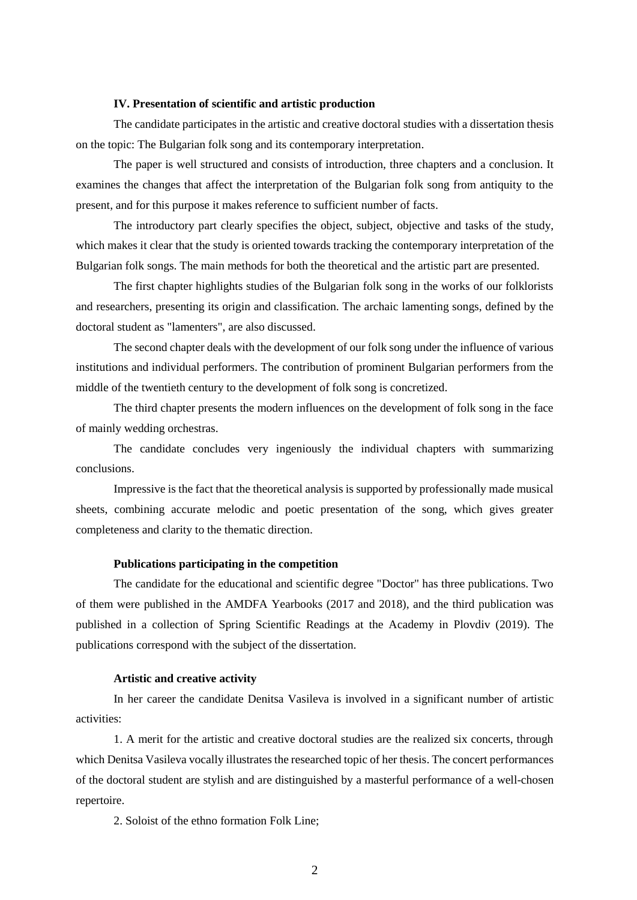## **IV. Presentation of scientific and artistic production**

The candidate participates in the artistic and creative doctoral studies with a dissertation thesis on the topic: The Bulgarian folk song and its contemporary interpretation.

The paper is well structured and consists of introduction, three chapters and a conclusion. It examines the changes that affect the interpretation of the Bulgarian folk song from antiquity to the present, and for this purpose it makes reference to sufficient number of facts.

The introductory part clearly specifies the object, subject, objective and tasks of the study, which makes it clear that the study is oriented towards tracking the contemporary interpretation of the Bulgarian folk songs. The main methods for both the theoretical and the artistic part are presented.

The first chapter highlights studies of the Bulgarian folk song in the works of our folklorists and researchers, presenting its origin and classification. The archaic lamenting songs, defined by the doctoral student as "lamenters", are also discussed.

The second chapter deals with the development of our folk song under the influence of various institutions and individual performers. The contribution of prominent Bulgarian performers from the middle of the twentieth century to the development of folk song is concretized.

The third chapter presents the modern influences on the development of folk song in the face of mainly wedding orchestras.

The candidate concludes very ingeniously the individual chapters with summarizing conclusions.

Impressive is the fact that the theoretical analysis is supported by professionally made musical sheets, combining accurate melodic and poetic presentation of the song, which gives greater completeness and clarity to the thematic direction.

### **Publications participating in the competition**

The candidate for the educational and scientific degree "Doctor" has three publications. Two of them were published in the AMDFA Yearbooks (2017 and 2018), and the third publication was published in a collection of Spring Scientific Readings at the Academy in Plovdiv (2019). The publications correspond with the subject of the dissertation.

#### **Artistic and creative activity**

In her career the candidate Denitsa Vasileva is involved in a significant number of artistic activities:

1. A merit for the artistic and creative doctoral studies are the realized six concerts, through which Denitsa Vasileva vocally illustrates the researched topic of her thesis. The concert performances of the doctoral student are stylish and are distinguished by a masterful performance of a well-chosen repertoire.

2. Soloist of the ethno formation Folk Line;